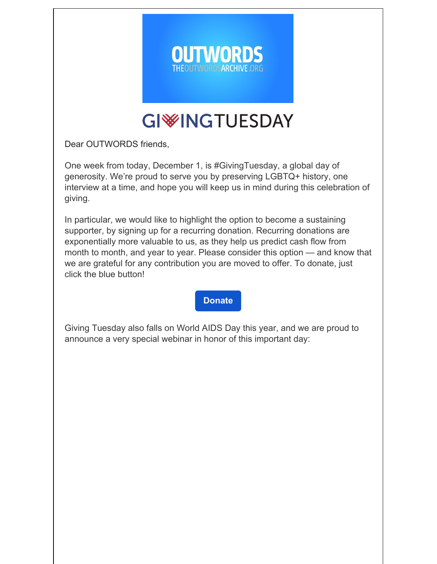

## **GIWINGTUESDAY**

Dear OUTWORDS friends,

One week from today, December 1, is #GivingTuesday, a global day of generosity. We're proud to serve you by preserving LGBTQ+ history, one interview at a time, and hope you will keep us in mind during this celebration of giving.

In particular, we would like to highlight the option to become a sustaining supporter, by signing up for a recurring donation. Recurring donations are exponentially more valuable to us, as they help us predict cash flow from month to month, and year to year. Please consider this option — and know that we are grateful for any contribution you are moved to offer. To donate, just click the blue button!

#### **[Donate](https://theoutwordsarchive.org/donate)**

Giving Tuesday also falls on World AIDS Day this year, and we are proud to announce a very special webinar in honor of this important day: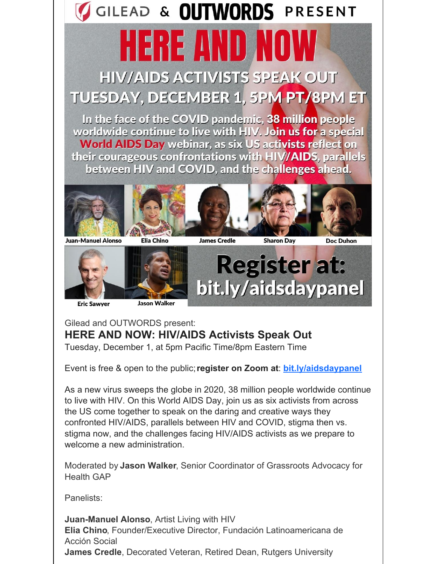# GILEAD & OUTWORDS PRESENT

ERETIND **HIV/AIDS ACTIVISTS SPEAK OUT** TUESDAY, DECEMBER 1, 5PM PT/8PM ET

In the face of the COVID pandemic, 38 million people worldwide continue to live with HIV. Join us for a special **World AIDS Day webinar, as six US activists reflect on** their courageous confrontations with HIV/AIDS, parallels between HIV and COVID, and the challenges ahead.









**Doc Duhon** 

**Juan-Manuel Alonso** 



## **Register at:** bit.ly/aidsdaypanel

**Eric Sawyer** 



### Gilead and OUTWORDS present: **HERE AND NOW: HIV/AIDS Activists Speak Out**

Tuesday, December 1, at 5pm Pacific Time/8pm Eastern Time

Event is free & open to the public;**register on Zoom at**: **[bit.ly/aidsdaypanel](https://bit.ly/aidsdaypanel)**

As a new virus sweeps the globe in 2020, 38 million people worldwide continue to live with HIV. On this World AIDS Day, join us as six activists from across the US come together to speak on the daring and creative ways they confronted HIV/AIDS, parallels between HIV and COVID, stigma then vs. stigma now, and the challenges facing HIV/AIDS activists as we prepare to welcome a new administration.

Moderated by **Jason Walker**, Senior Coordinator of Grassroots Advocacy for Health GAP

Panelists:

**Juan-Manuel Alonso**, Artist Living with HIV **Elia Chino**, Founder/Executive Director, Fundación Latinoamericana de Acción Social **James Credle**, Decorated Veteran, Retired Dean, Rutgers University